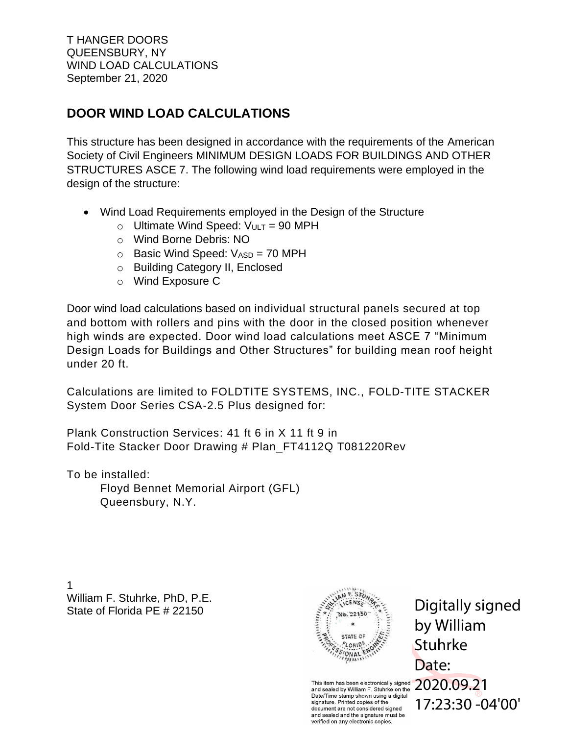# **DOOR WIND LOAD CALCULATIONS**

This structure has been designed in accordance with the requirements of the American Society of Civil Engineers MINIMUM DESIGN LOADS FOR BUILDINGS AND OTHER STRUCTURES ASCE 7. The following wind load requirements were employed in the design of the structure:

- Wind Load Requirements employed in the Design of the Structure
	- $\circ$  Ultimate Wind Speed:  $V_{ULT} = 90$  MPH
	- o Wind Borne Debris: NO
	- $\circ$  Basic Wind Speed:  $V_{ASD} = 70$  MPH
	- o Building Category II, Enclosed
	- o Wind Exposure C

Door wind load calculations based on individual structural panels secured at top and bottom with rollers and pins with the door in the closed position whenever high winds are expected. Door wind load calculations meet ASCE 7 "Minimum Design Loads for Buildings and Other Structures" for building mean roof height under 20 ft.

Calculations are limited to FOLDTITE SYSTEMS, INC., FOLD-TITE STACKER System Door Series CSA-2.5 Plus designed for:

Plank Construction Services: 41 ft 6 in X 11 ft 9 in Fold-Tite Stacker Door Drawing # Plan\_FT4112Q T081220Rev

To be installed: Floyd Bennet Memorial Airport (GFL) Queensbury, N.Y.

1 William F. Stuhrke, PhD, P.E. State of Florida PE # 22150



Digitally signed by William **Stuhrke** Date: 17:23:30 -04'00'

This item has been electronically signed  $2020.09.21$ and sealed by William F. Stuhrke on the Date/Time stamp shown using a digital signature. Printed copies of the document are not considered signed and sealed and the signature must be verified on any electronic copies.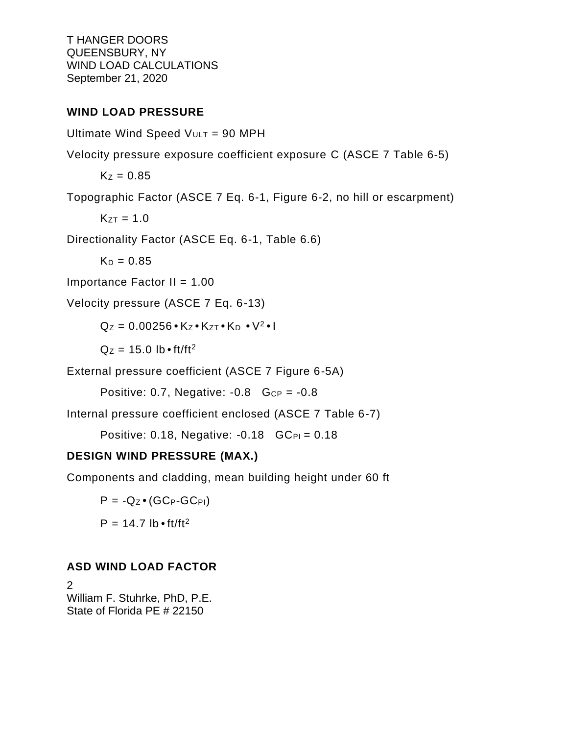#### **WIND LOAD PRESSURE**

Ultimate Wind Speed  $V_{ULT}$  = 90 MPH

Velocity pressure exposure coefficient exposure C (ASCE 7 Table 6-5)

 $K_z = 0.85$ 

Topographic Factor (ASCE 7 Eq. 6-1, Figure 6-2, no hill or escarpment)

 $K_{ZT} = 1.0$ 

Directionality Factor (ASCE Eq. 6-1, Table 6.6)

 $K_D = 0.85$ 

Importance Factor  $II = 1.00$ 

Velocity pressure (ASCE 7 Eq. 6-13)

 $Q_Z = 0.00256 \cdot K_Z \cdot K_{ZT} \cdot K_D \cdot V^2 \cdot I$ 

 $Qz = 15.0$  lb  $\cdot$  ft/ft<sup>2</sup>

External pressure coefficient (ASCE 7 Figure 6-5A)

Positive: 0.7, Negative:  $-0.8$  Gcp =  $-0.8$ 

Internal pressure coefficient enclosed (ASCE 7 Table 6-7)

Positive: 0.18, Negative:  $-0.18$  GC<sub>PI</sub> = 0.18

#### **DESIGN WIND PRESSURE (MAX.)**

Components and cladding, mean building height under 60 ft

 $P = -Q_Z \bullet (GC_P - GC_{PI})$  $P = 14.7$  lb • ft/ft<sup>2</sup>

## **ASD WIND LOAD FACTOR**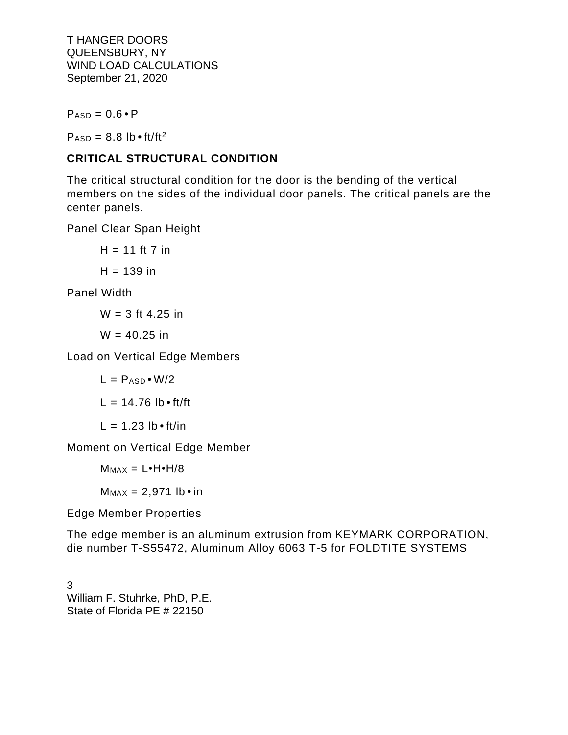$P_{ASD} = 0.6 \cdot P$ 

 $P_{ASD} = 8.8$  lb  $\cdot$  ft/ft<sup>2</sup>

### **CRITICAL STRUCTURAL CONDITION**

The critical structural condition for the door is the bending of the vertical members on the sides of the individual door panels. The critical panels are the center panels.

Panel Clear Span Height

 $H = 11$  ft 7 in  $H = 139$  in

Panel Width

 $W = 3$  ft 4.25 in

 $W = 40.25$  in

Load on Vertical Edge Members

$$
L = P_{ASD} \cdot W/2
$$

$$
L = 14.76 lb \cdot ft/ft
$$

$$
L = 1.23 lb \cdot ft/in
$$

Moment on Vertical Edge Member

 $M_{MAX} = L \cdot H \cdot H / 8$ 

 $M_{MAX} = 2,971$  lb • in

Edge Member Properties

The edge member is an aluminum extrusion from KEYMARK CORPORATION, die number T-S55472, Aluminum Alloy 6063 T-5 for FOLDTITE SYSTEMS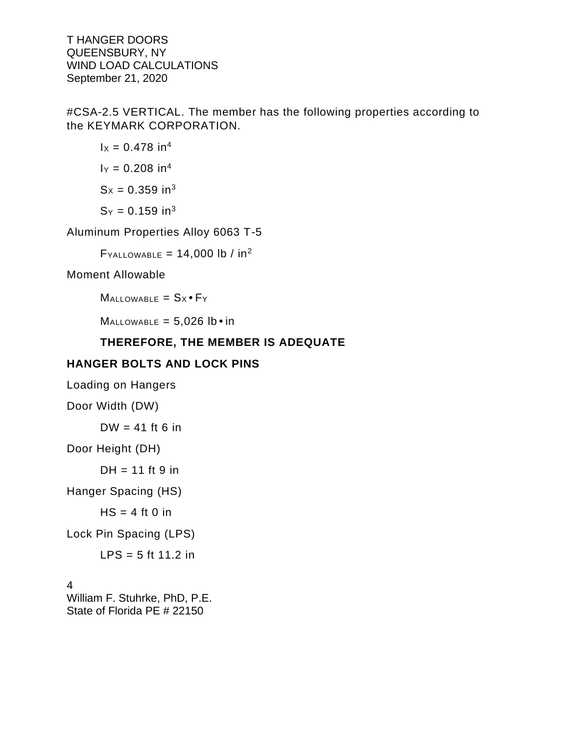#CSA-2.5 VERTICAL. The member has the following properties according to the KEYMARK CORPORATION.

$$
1x = 0.478 \text{ in}^4
$$

$$
1y = 0.208 \text{ in}^4
$$

$$
Sx = 0.359 \text{ in}^3
$$

$$
Sy = 0.159 \text{ in}^3
$$

Aluminum Properties Alloy 6063 T-5

 $F_{\text{YALLOWABLE}} = 14,000 \text{ lb} / \text{ in}^2$ 

Moment Allowable

 $M$ ALLOWABLE =  $S_X \cdot F_Y$ 

 $M$ ALLOWABLE = 5,026  $lb \cdot in$ 

#### **THEREFORE, THE MEMBER IS ADEQUATE**

#### **HANGER BOLTS AND LOCK PINS**

Loading on Hangers

Door Width (DW)

 $DW = 41$  ft 6 in

Door Height (DH)

 $DH = 11$  ft 9 in

Hanger Spacing (HS)

 $HS = 4$  ft 0 in

Lock Pin Spacing (LPS)

LPS =  $5$  ft 11.2 in

4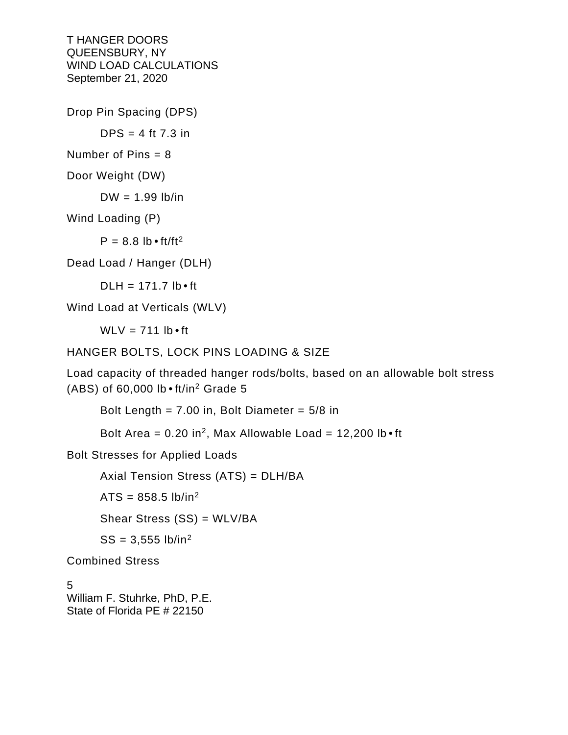Drop Pin Spacing (DPS)

 $DPS = 4$  ft 7.3 in

Number of Pins  $= 8$ 

Door Weight (DW)

 $DW = 1.99$  lb/in

Wind Loading (P)

 $P = 8.8$  lb  $\cdot$  ft/ft<sup>2</sup>

Dead Load / Hanger (DLH)

 $D L H = 171.7$  lb  $\cdot$  ft

Wind Load at Verticals (WLV)

 $WLV = 711 lb \cdot ft$ 

HANGER BOLTS, LOCK PINS LOADING & SIZE

Load capacity of threaded hanger rods/bolts, based on an allowable bolt stress (ABS) of  $60,000$  lb  $\cdot$  ft/in<sup>2</sup> Grade 5

Bolt Length =  $7.00$  in, Bolt Diameter =  $5/8$  in

Bolt Area =  $0.20$  in<sup>2</sup>, Max Allowable Load =  $12,200$  lb  $\cdot$  ft

Bolt Stresses for Applied Loads

Axial Tension Stress (ATS) = DLH/BA

 $ATS = 858.5 lb/in<sup>2</sup>$ 

Shear Stress (SS) = WLV/BA

 $SS = 3,555$  lb/in<sup>2</sup>

Combined Stress